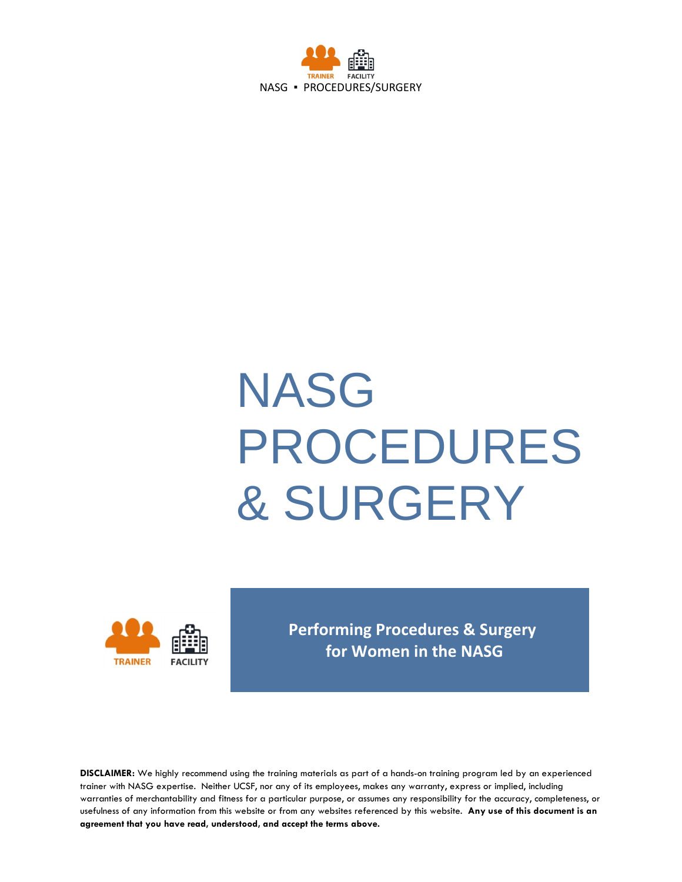

# **NASG** PROCEDURES & SURGERY



**Performing Procedures & Surgery for Women in the NASG** 

**DISCLAIMER:** We highly recommend using the training materials as part of a hands-on training program led by an experienced trainer with NASG expertise. Neither UCSF, nor any of its employees, makes any warranty, express or implied, including warranties of merchantability and fitness for a particular purpose, or assumes any responsibility for the accuracy, completeness, or usefulness of any information from this website or from any websites referenced by this website. **Any use of this document is an agreement that you have read, understood, and accept the terms above.**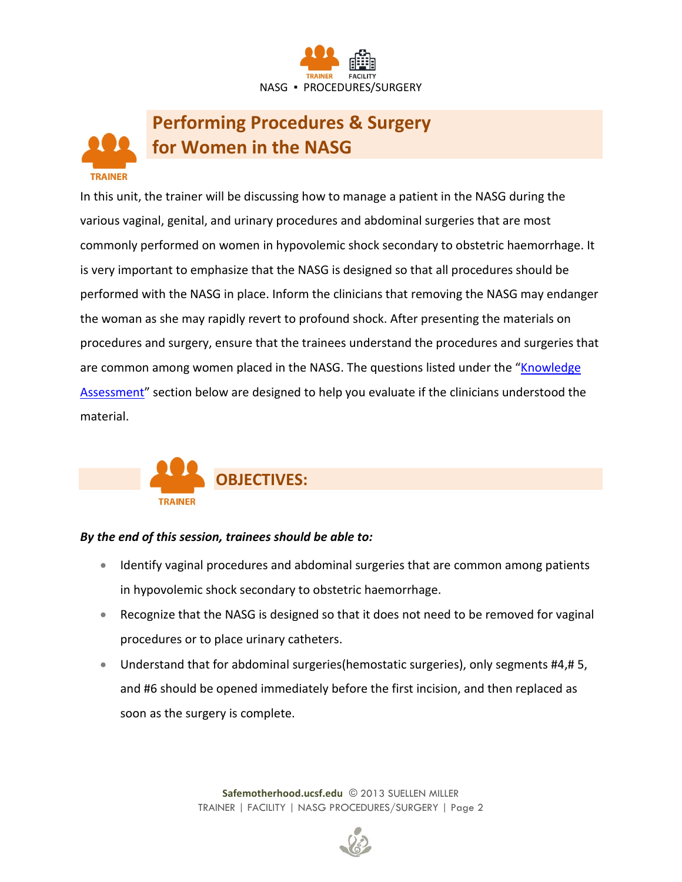

## **Performing Procedures & Surgery for Women in the NASG**

**TRAINER** 

In this unit, the trainer will be discussing how to manage a patient in the NASG during the various vaginal, genital, and urinary procedures and abdominal surgeries that are most commonly performed on women in hypovolemic shock secondary to obstetric haemorrhage. It is very important to emphasize that the NASG is designed so that all procedures should be performed with the NASG in place. Inform the clinicians that removing the NASG may endanger the woman as she may rapidly revert to profound shock. After presenting the materials on procedures and surgery, ensure that the trainees understand the procedures and surgeries that are common among women placed in the NASG. The questions listed under the "Knowledge" [Assessment"](#page-7-0) section below are designed to help you evaluate if the clinicians understood the material.



#### *By the end of this session, trainees should be able to:*

- Identify vaginal procedures and abdominal surgeries that are common among patients in hypovolemic shock secondary to obstetric haemorrhage.
- Recognize that the NASG is designed so that it does not need to be removed for vaginal procedures or to place urinary catheters.
- Understand that for abdominal surgeries(hemostatic surgeries), only segments #4,# 5, and #6 should be opened immediately before the first incision, and then replaced as soon as the surgery is complete.

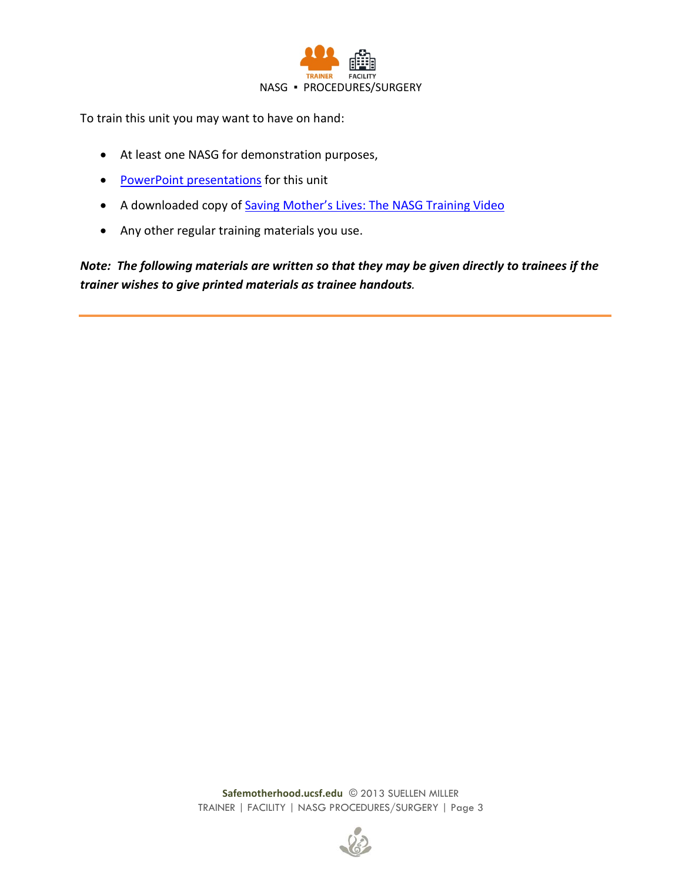

To train this unit you may want to have on hand:

- At least one NASG for demonstration purposes,
- [PowerPoint presentations](http://www.safemotherhood.ucsf.edu/traininglearningmaterials/#TR-FAC) for this unit
- A downloaded copy of [Saving Mother's Lives: The NASG Training Video](http://www.safemotherhood.ucsf.edu/traininglearningmaterials/#VIDEO)
- Any other regular training materials you use.

*Note: The following materials are written so that they may be given directly to trainees if the trainer wishes to give printed materials as trainee handouts.*

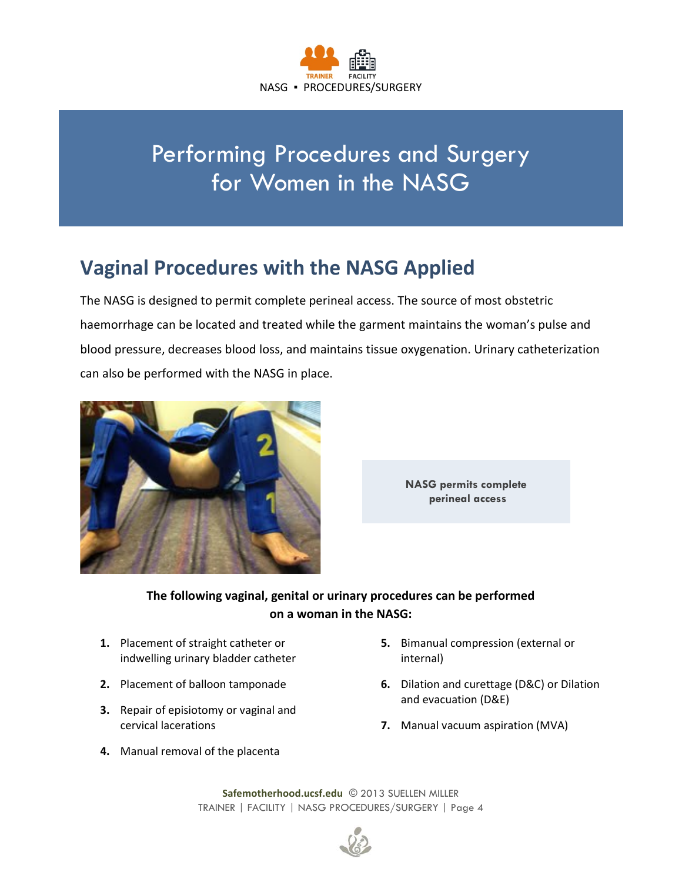

# Performing Procedures and Surgery for Women in the NASG

## **Vaginal Procedures with the NASG Applied**

The NASG is designed to permit complete perineal access. The source of most obstetric haemorrhage can be located and treated while the garment maintains the woman's pulse and blood pressure, decreases blood loss, and maintains tissue oxygenation. Urinary catheterization can also be performed with the NASG in place.





#### **The following vaginal, genital or urinary procedures can be performed on a woman in the NASG:**

- **1.** Placement of straight catheter or indwelling urinary bladder catheter
- **2.** Placement of balloon tamponade
- **3.** Repair of episiotomy or vaginal and cervical lacerations
- **4.** Manual removal of the placenta
- **5.** Bimanual compression (external or internal)
- **6.** Dilation and curettage (D&C) or Dilation and evacuation (D&E)
- **7.** Manual vacuum aspiration (MVA)

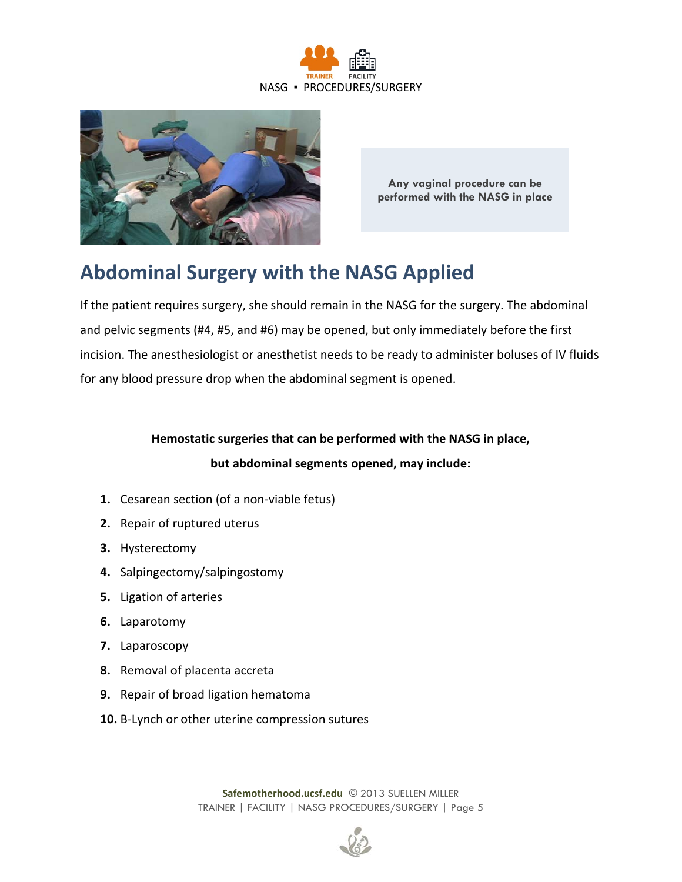



**Any vaginal procedure can be performed with the NASG in place**

## **Abdominal Surgery with the NASG Applied**

If the patient requires surgery, she should remain in the NASG for the surgery. The abdominal and pelvic segments (#4, #5, and #6) may be opened, but only immediately before the first incision. The anesthesiologist or anesthetist needs to be ready to administer boluses of IV fluids for any blood pressure drop when the abdominal segment is opened.

#### **Hemostatic surgeries that can be performed with the NASG in place, but abdominal segments opened, may include:**

- **1.** Cesarean section (of a non-viable fetus)
- **2.** Repair of ruptured uterus
- **3.** Hysterectomy
- **4.** Salpingectomy/salpingostomy
- **5.** Ligation of arteries
- **6.** Laparotomy
- **7.** Laparoscopy
- **8.** Removal of placenta accreta
- **9.** Repair of broad ligation hematoma
- **10.** B-Lynch or other uterine compression sutures

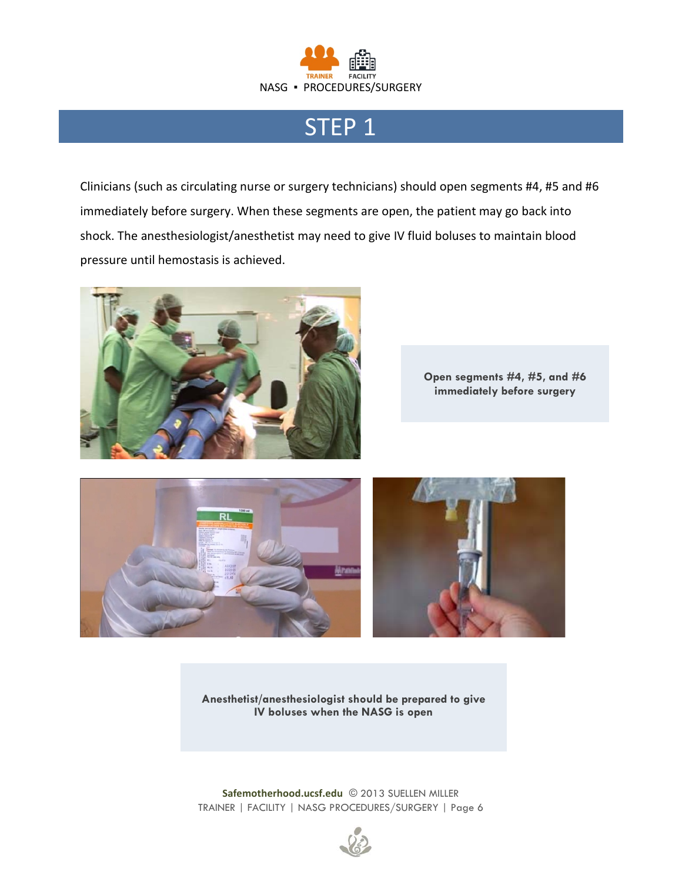

## STEP 1

Clinicians (such as circulating nurse or surgery technicians) should open segments #4, #5 and #6 immediately before surgery. When these segments are open, the patient may go back into shock. The anesthesiologist/anesthetist may need to give IV fluid boluses to maintain blood pressure until hemostasis is achieved.



**Open segments #4, #5, and #6 immediately before surgery**



**Anesthetist/anesthesiologist should be prepared to give IV boluses when the NASG is open**

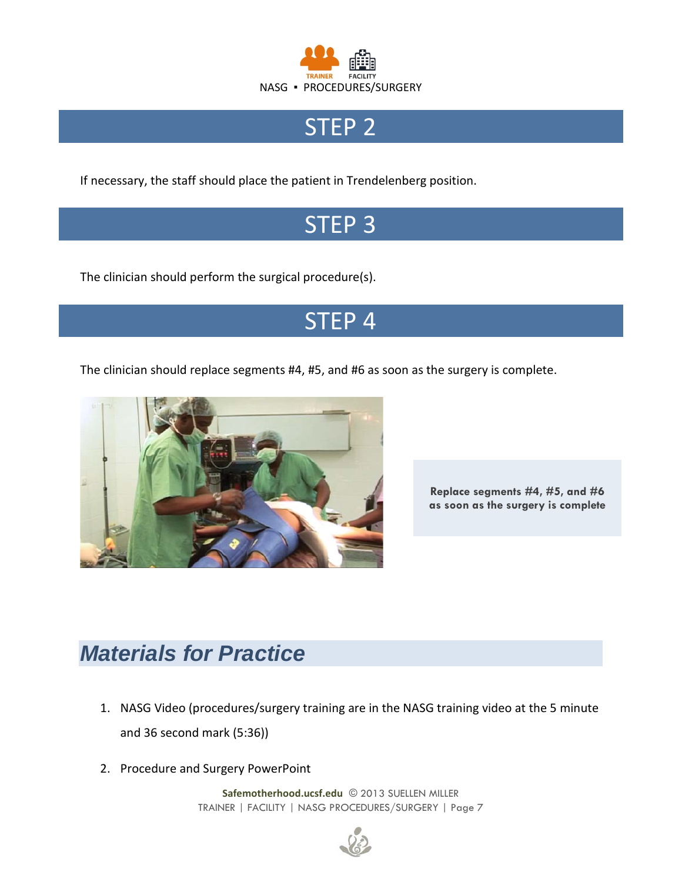

## STEP<sub>2</sub>

If necessary, the staff should place the patient in Trendelenberg position.

# STEP 3

The clinician should perform the surgical procedure(s).

## STEP 4

The clinician should replace segments #4, #5, and #6 as soon as the surgery is complete.



**Replace segments #4, #5, and #6 as soon as the surgery is complete**

# *Materials for Practice*

- 1. NASG Video (procedures/surgery training are in the NASG training video at the 5 minute and 36 second mark (5:36))
- 2. Procedure and Surgery PowerPoint

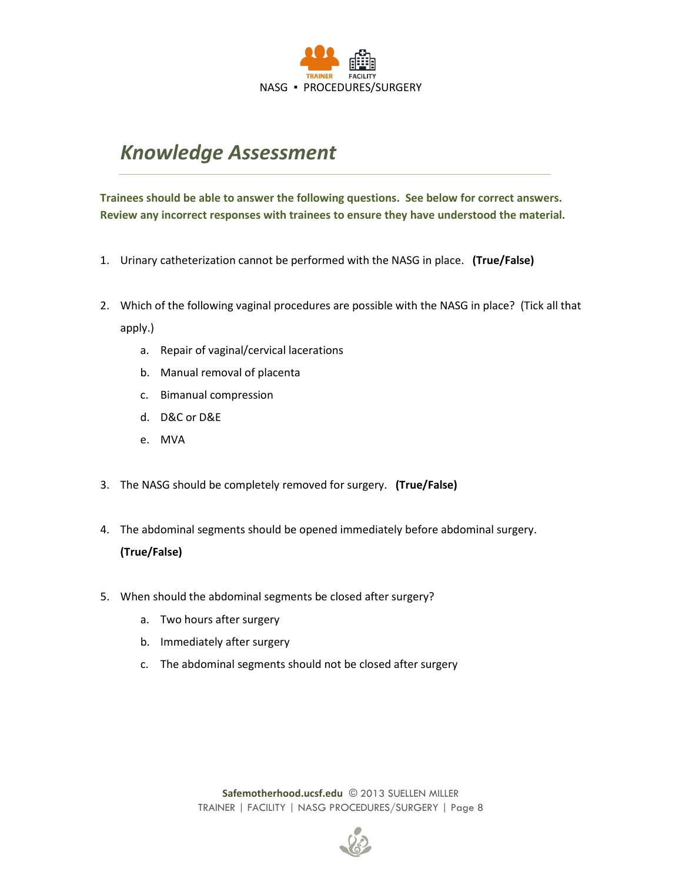

### <span id="page-7-0"></span>*Knowledge Assessment*

**Trainees should be able to answer the following questions. See below for correct answers. Review any incorrect responses with trainees to ensure they have understood the material.**

- 1. Urinary catheterization cannot be performed with the NASG in place. **(True/False)**
- 2. Which of the following vaginal procedures are possible with the NASG in place? (Tick all that apply.)
	- a. Repair of vaginal/cervical lacerations
	- b. Manual removal of placenta
	- c. Bimanual compression
	- d. D&C or D&E
	- e. MVA
- 3. The NASG should be completely removed for surgery. **(True/False)**
- 4. The abdominal segments should be opened immediately before abdominal surgery. **(True/False)**
- 5. When should the abdominal segments be closed after surgery?
	- a. Two hours after surgery
	- b. Immediately after surgery
	- c. The abdominal segments should not be closed after surgery